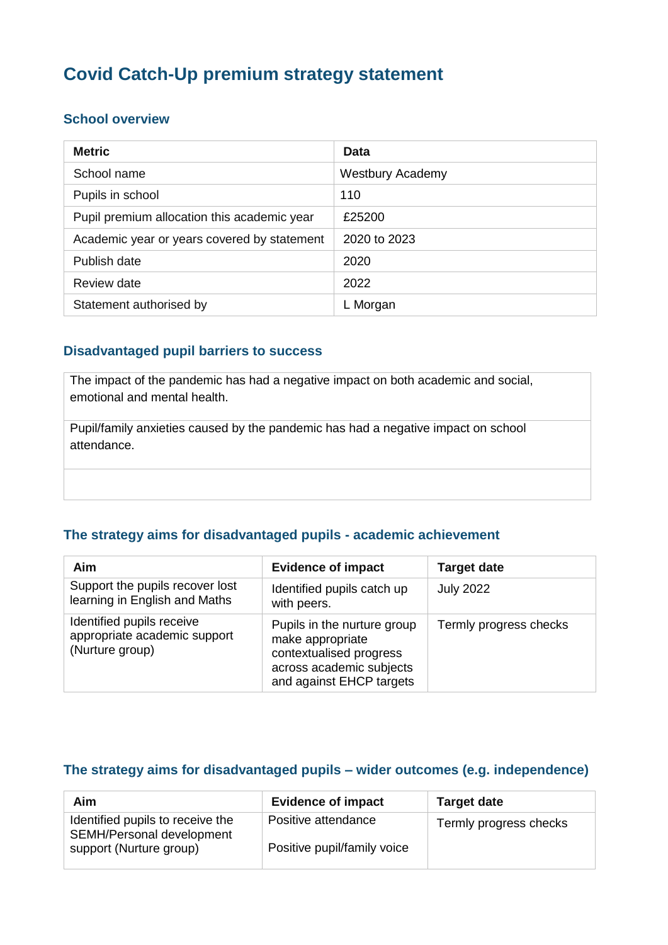# **Covid Catch-Up premium strategy statement**

#### **School overview**

| <b>Metric</b>                               | Data                    |
|---------------------------------------------|-------------------------|
| School name                                 | <b>Westbury Academy</b> |
| Pupils in school                            | 110                     |
| Pupil premium allocation this academic year | £25200                  |
| Academic year or years covered by statement | 2020 to 2023            |
| Publish date                                | 2020                    |
| Review date                                 | 2022                    |
| Statement authorised by                     | L Morgan                |

#### **Disadvantaged pupil barriers to success**

The impact of the pandemic has had a negative impact on both academic and social, emotional and mental health.

Pupil/family anxieties caused by the pandemic has had a negative impact on school attendance.

#### **The strategy aims for disadvantaged pupils - academic achievement**

| Aim                                                                          | <b>Evidence of impact</b>                                                                                                          | <b>Target date</b>     |
|------------------------------------------------------------------------------|------------------------------------------------------------------------------------------------------------------------------------|------------------------|
| Support the pupils recover lost<br>learning in English and Maths             | Identified pupils catch up<br>with peers.                                                                                          | <b>July 2022</b>       |
| Identified pupils receive<br>appropriate academic support<br>(Nurture group) | Pupils in the nurture group<br>make appropriate<br>contextualised progress<br>across academic subjects<br>and against EHCP targets | Termly progress checks |

#### **The strategy aims for disadvantaged pupils – wider outcomes (e.g. independence)**

| Aim                                                           | <b>Evidence of impact</b>   | <b>Target date</b>     |
|---------------------------------------------------------------|-----------------------------|------------------------|
| Identified pupils to receive the<br>SEMH/Personal development | Positive attendance         | Termly progress checks |
| support (Nurture group)                                       | Positive pupil/family voice |                        |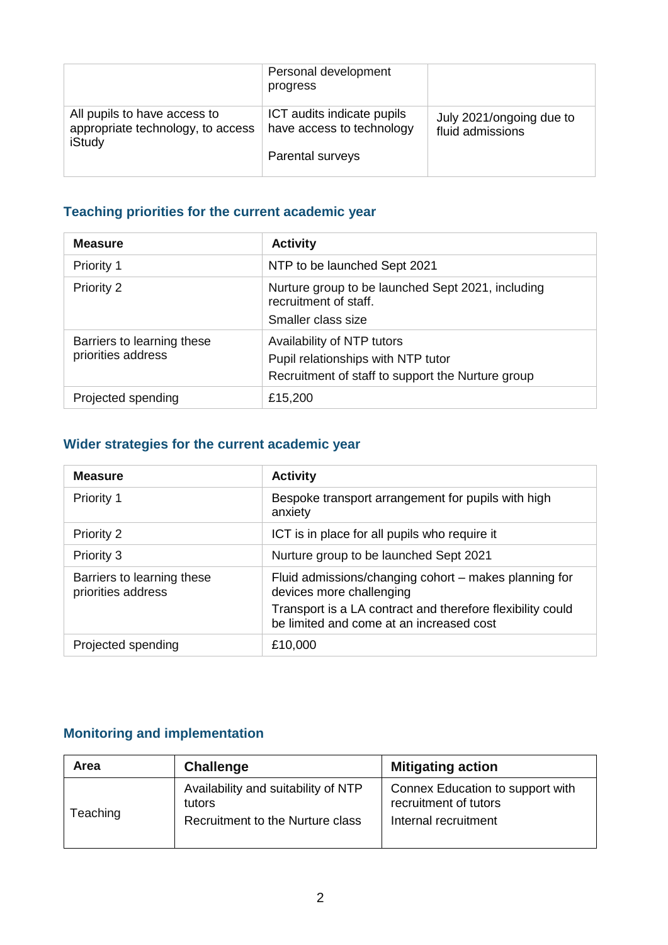|                                                                             | Personal development<br>progress                                            |                                              |
|-----------------------------------------------------------------------------|-----------------------------------------------------------------------------|----------------------------------------------|
| All pupils to have access to<br>appropriate technology, to access<br>iStudy | ICT audits indicate pupils<br>have access to technology<br>Parental surveys | July 2021/ongoing due to<br>fluid admissions |

### **Teaching priorities for the current academic year**

| <b>Measure</b>                                   | <b>Activity</b>                                                                                                       |
|--------------------------------------------------|-----------------------------------------------------------------------------------------------------------------------|
| Priority 1                                       | NTP to be launched Sept 2021                                                                                          |
| Priority 2                                       | Nurture group to be launched Sept 2021, including<br>recruitment of staff.<br>Smaller class size                      |
| Barriers to learning these<br>priorities address | Availability of NTP tutors<br>Pupil relationships with NTP tutor<br>Recruitment of staff to support the Nurture group |
| Projected spending                               | £15,200                                                                                                               |

## **Wider strategies for the current academic year**

| <b>Measure</b>                                   | <b>Activity</b>                                                                                        |  |
|--------------------------------------------------|--------------------------------------------------------------------------------------------------------|--|
| Priority 1                                       | Bespoke transport arrangement for pupils with high<br>anxiety                                          |  |
| Priority 2                                       | ICT is in place for all pupils who require it                                                          |  |
| Priority 3                                       | Nurture group to be launched Sept 2021                                                                 |  |
| Barriers to learning these<br>priorities address | Fluid admissions/changing cohort - makes planning for<br>devices more challenging                      |  |
|                                                  | Transport is a LA contract and therefore flexibility could<br>be limited and come at an increased cost |  |
| Projected spending                               | £10,000                                                                                                |  |

## **Monitoring and implementation**

| Area     | <b>Challenge</b>                                                                  | <b>Mitigating action</b>                                                          |
|----------|-----------------------------------------------------------------------------------|-----------------------------------------------------------------------------------|
| Teaching | Availability and suitability of NTP<br>tutors<br>Recruitment to the Nurture class | Connex Education to support with<br>recruitment of tutors<br>Internal recruitment |